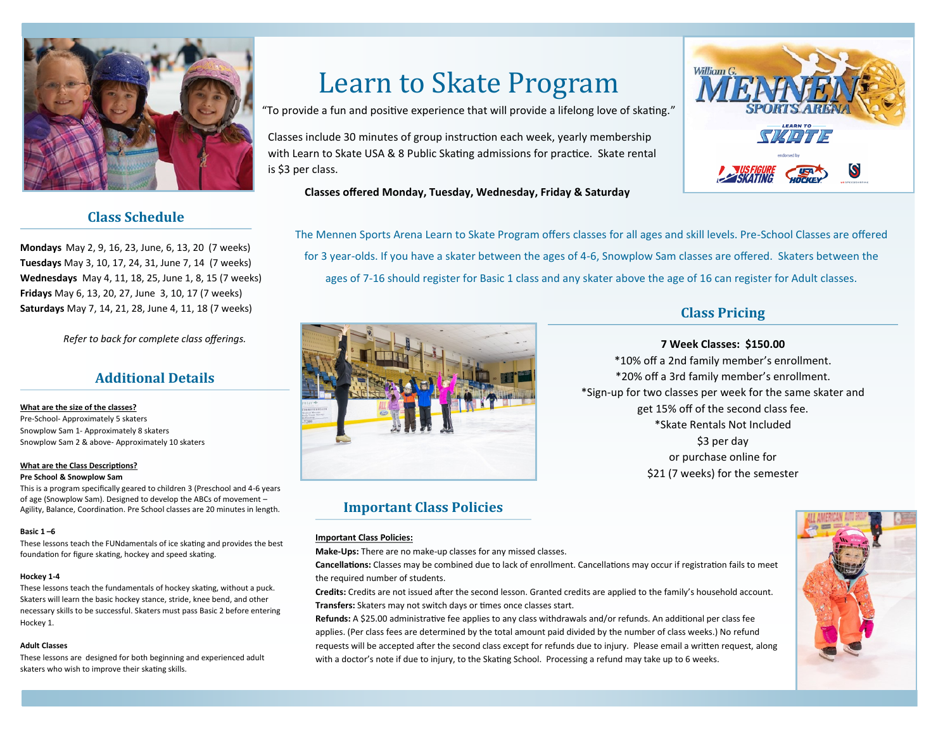

# **Class Schedule**

**Mondays** May 2, 9, 16, 23, June, 6, 13, 20 (7 weeks) **Tuesdays** May 3, 10, 17, 24, 31, June 7, 14 (7 weeks) **Wednesdays** May 4, 11, 18, 25, June 1, 8, 15 (7 weeks) **Fridays** May 6, 13, 20, 27, June 3, 10, 17 (7 weeks) **Saturdays** May 7, 14, 21, 28, June 4, 11, 18 (7 weeks)

*Refer to back for complete class offerings.* 

## **Additional Details**

#### **What are the size of the classes?**

Pre-School- Approximately 5 skaters Snowplow Sam 1- Approximately 8 skaters Snowplow Sam 2 & above- Approximately 10 skaters

#### **What are the Class Descriptions?**

#### **Pre School & Snowplow Sam**

This is a program specifically geared to children 3 (Preschool and 4-6 years of age (Snowplow Sam). Designed to develop the ABCs of movement – Agility, Balance, Coordination. Pre School classes are 20 minutes in length.

#### **Basic 1 –6**

These lessons teach the FUNdamentals of ice skating and provides the best foundation for figure skating, hockey and speed skating.

#### **Hockey 1-4**

These lessons teach the fundamentals of hockey skating, without a puck. Skaters will learn the basic hockey stance, stride, knee bend, and other necessary skills to be successful. Skaters must pass Basic 2 before entering Hockey 1.

#### **Adult Classes**

These lessons are designed for both beginning and experienced adult skaters who wish to improve their skating skills.

# Learn to Skate Program

"To provide a fun and positive experience that will provide a lifelong love of skating."

Classes include 30 minutes of group instruction each week, yearly membership with Learn to Skate USA & 8 Public Skating admissions for practice. Skate rental is \$3 per class.

## **Classes offered Monday, Tuesday, Wednesday, Friday & Saturday**

The Mennen Sports Arena Learn to Skate Program offers classes for all ages and skill levels. Pre-School Classes are offered for 3 year-olds. If you have a skater between the ages of 4-6, Snowplow Sam classes are offered. Skaters between the ages of 7-16 should register for Basic 1 class and any skater above the age of 16 can register for Adult classes.



## **Important Class Policies**

#### **Important Class Policies:**

**Make-Ups:** There are no make-up classes for any missed classes.

**Cancellations:** Classes may be combined due to lack of enrollment. Cancellations may occur if registration fails to meet the required number of students.

**Credits:** Credits are not issued after the second lesson. Granted credits are applied to the family's household account. **Transfers:** Skaters may not switch days or times once classes start.

**Refunds:** A \$25.00 administrative fee applies to any class withdrawals and/or refunds. An additional per class fee applies. (Per class fees are determined by the total amount paid divided by the number of class weeks.) No refund requests will be accepted after the second class except for refunds due to injury. Please email a written request, along with a doctor's note if due to injury, to the Skating School. Processing a refund may take up to 6 weeks.





### **7 Week Classes: \$150.00**

\*10% off a 2nd family member's enrollment. \*20% off a 3rd family member's enrollment. \*Sign-up for two classes per week for the same skater and get 15% off of the second class fee. \*Skate Rentals Not Included \$3 per day or purchase online for \$21 (7 weeks) for the semester